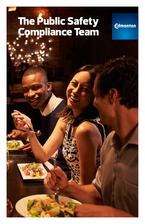# The Public Safety Compliance Team

**Edmonton** 

THE CITY OF EDMONTON **1**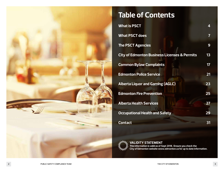

# **Table of Contents**

| 4  |
|----|
| 7  |
| 9  |
| 13 |
| 17 |
| 21 |
| 23 |
| 25 |
| 27 |
| 29 |
| 31 |
|    |



**VALIDITY STATEMENT This information is valid as of Sept 2018. Ensure you check the City of Edmonton website www.edmonton.ca for up to date information.**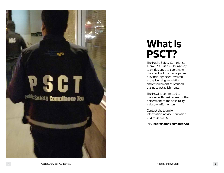

# **What Is PSCT?**

The Public Safety Compliance Team (PSCT) is a multi-agency team designed to coordinate the efforts of the municipal and provincial agencies involved in the licensing, regulation and enforcement of licensed business establishments.

The PSCT is committed to working with businesses for the betterment of the hospitality industry in Edmonton.

Contact the team for information, advice, education, or any concerns.

#### **[PSCTcoordinator@edmonton.ca](mailto:PSCTcoordinator%40edmonton.ca?subject=)**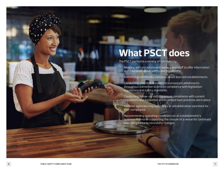# **What PSCT does**

The PSCT performs a variety of functions by:

- Meeting with establishment owners and staff to offer information and education about safety and regulations.
- Addressing community concerns about licensed establishments.
- Conducting unscheduled visits to licensed establishments throughout Edmonton to ensure compliance with legislation, regulations and safety standards.
- Conducting follow-up visits to ensure compliance with current regulations and legislation and to ensure best practices are in place.
- Member agencies may issue fines or administrative sanctions for non-compliance.

• Recommending operating conditions on an establishment's business license or supporting the closure of a venue for continued non-compliance to necessary changes.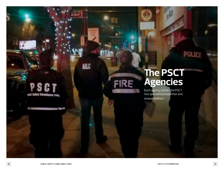# **The PSCT Agencies**

FIRE

**POLICI** 

Each agency within the PSCT has specialized expertise and responsibilities.

**STATE** 

PSCT

**yul Safety Compliance Team** 

**AGLC** 

 $\overline{\mathbf{S}}$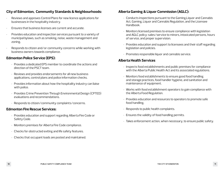#### **City of Edmonton, Community Standards & Neighbourhoods:**

- Reviews and approves Control Plans for new licence applications for businesses in the hospitality industry.
- Ensures that business licenses are current and accurate.
- Provides education and inspection services pursuant to a variety of municipal bylaws, such as smoking, noise, waste management and zoning.
- Responds to citizen and/or community concerns while working with business owners towards compliance.

### **Edmonton Police Service (EPS):**

- Provides a dedicated EPS member to coordinate the actions and direction of the PSCT team.
- Reviews and provides endorsements for all new business applications, control plans and police information checks.
- Provides information about how the hospitality industry can liaise with police.
- Provides Crime Prevention Through Environmental Design (CPTED) evaluations and recommendations.
- Responds to citizen/community complaints/concerns.

#### **Edmonton Fire Rescue Services:**

- Provides education and support regarding Alberta Fire Code or Safety Code.
- Monitors premises for Alberta Fire Code compliance.
- Checks for obstructed exiting and life safety features.
- Checks that occupant loads are posted and maintained.

### **Alberta Gaming & Liquor Commission (AGLC):**

- Conducts inspections pursuant to the Gaming,Liquor and Cannabis Act, Gaming, Liquor and Cannabis Regulation, and the Licensee Handbook.
- Monitors licensed premises to ensure compliance with legislation and AGLC policy: sales/service to minors, intoxicated persons, hours of service, and proper supervision.
- Provides education and support to licensees and their staff regarding legislation and policies.
- Promotes responsible liquor and cannabis service.

### **Alberta Health Services**

- Inspects food establishments and public premises for compliance with the Alberta Public Health Act and its associated regulations.
- Monitors food establishments to ensure good food handling and storage practices, food handler hygiene, and sanitation and maintenance of equipment.
- Works with food establishment operators to gain compliance with the Alberta Food Regulation.
- Provides education and resources to operators to promote safe food handling.
- Responds to public health complaints.
- Ensures the validity of food handling permits.
- Takes enforcement action, when necessary, to ensure public safety.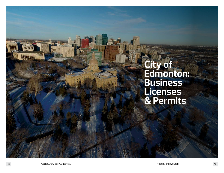# **City of Edmonton: Business Licenses & Permits**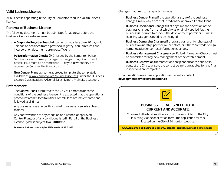#### **Valid Business Licence**

All businesses operating in the City of Edmonton require a valid business licence.

#### **Renewal of Business Licence**

The following documents must be submitted for approval before the business licence can be renewed:

- **• A Corporate Registry Search** document that is less than 90 days old. This can be obtained from a provincial registry. Annual returns and incorporation documents are not sufficient.
- **• Police Information Checks** (PIC) issued by the Edmonton Police Service for each primary manager, owner, partner, director, and officer. PICs must be no more than 90 days old when they are received by Community Standards.
- **• New Control Plans** using the approved template. the template is available at [www.edmonton.ca/businesslicences](http://www.edmonton.ca/businesslicences) under the Business Licence Classifications/Alcohol Sales-Minors Prohibited category.

#### **Enforcement**

- The **Control Plans** submitted to the City of Edmonton become conditions of the business license. It is expected that the operational procedures committed to in the Control Plans are implemented and followed at all times.
- Any business operating without a valid business licence is subject to fines.
- Any contravention of any condition on a licence, of approved Control Plans, or of any conditions listed in Part 4 of the Business Licence Bylaw is subject to a **\$2000** fine.

**Reference: Business Licence Bylaw 13138 section 4, 22, 23-32**

Changes that need to be reported include:

- **• Business Control Plans:** If the operational style of the business changes in any way from that listed on the approved Control Plans.
- **• Business Operational Changes:** If at any time the operation of the business changes from that which was originally applied for, the business is required to check if the development permit or business licensing categories need to be changed.
- **• Business Ownership Changes:** If there are partial or full changes of business ownership, partners or directors, or if there are trade or legal name, location, or contact information changes.
- **• Business Management Changes:** New Police Information Checks must be submitted for any new management of the establishment.
- **• Business Renovations:** If renovations are planned for the business, contact the City to ensure the correct permits are applied for and final inspections are completed.

For all questions regarding applications or permits, contact **[developmentservices@edmonton.ca](mailto:developmentservices%40edmonton.ca?subject=)**



#### **BUSINESS LICENCES NEED TO BE CURRENT AND ACCURATE.**

Changes to the business licence must be submitted to the City, in writing via the application form. The application form is located on the City of Edmonton website.

**[www.edmonton.ca/business\\_economy/licences\\_permits/business-licensing.aspx](http://www.edmonton.ca/business_economy/licences_permits/business-licensing.aspx)**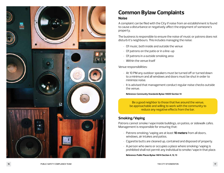

# **Common Bylaw Complaints**

#### **Noise**

A complaint can be filed with the City if noise from an establishment is found to cause a disturbance or negatively affect the enjoyment of someone's property.

The business is responsible to ensure the noise of music or patrons does not disturb it's neighbours. This includes managing the noise:

- Of music, both inside and outside the venue
- Of patrons on the patio or in a line-up
- Of patrons in a outside smoking area Within the venue itself
- 

#### Venue responsibilities:

- At 10 PM any outdoor speakers must be turned off or turned down to a minimum and all windows and doors must be shut in order to minimize noise.
- It is advised that management conduct regular noise checks outside the venue.

**Reference: Community Standards Bylaw 14600 Section 14**

Be a good neighbor to those that live around the venue, be approachable and willing to work with the community to reduce any negative effects from the bar.

## **Smoking/Vaping**

Patrons cannot smoke/vape inside buildings, on patios, or sidewalk cafes. Management is responsible for ensuring that: • Patrons smoking/vaping are at least **10 meters** from all doors,

- windows, air intakes and patios.
- Cigarette butts are cleaned up, contained and disposed of properly.
- A person who owns or occupies a place where smoking/vaping is prohibited shall not permit any individual to smoke/vape in that place.

**Reference: Public Places Bylaw 14614 Section 4, 12, 13**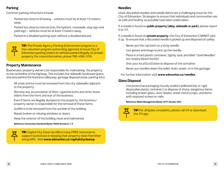## **Parking**

Common parking infractions include:

- Parked too close to driveway vehicles must be at least 1.5 meters away.
- Parked too close to intersection, fire hydrant, crosswalk, stop sign and yield sign - vehicles must be at least 5 meters away.
- Parked in a disabled parking spot without a disabled placard.

**TIP:** The Private Agency Parking Enforcement program is a free volunteer program authorizing agencies to issue City of Edmonton parking tickets to vehicles parked illegally on private property. For more information, phone 780-496-5174.

## **Property Maintenance**

Businesses/property owners are responsible for maintaining the property to the centreline of the highway. This includes the sidewalk, boulevard space, and area behind the business (alleyway, garbage disposal areas, parking lots).

- All snow and ice must be removed from the city sidewalks adjacent to the property.
- Remove any accumulation of litter, cigarette butts and other loose debris from the front and rear of the business.
- Even if items are illegally dumped on the property, the business/ property owner is responsible for the removal of these items.
- Graffiti is to be removed from the outside of the building.
- Repair broken or missing windows or doors.
- Keep the exterior of the building clean and maintained.

**Reference: Community Standards Bylaw 14600 Section 6, 7, 9**

**TIP:** Capital City Clean Up offers many FREE resources to support businesses in keeping their property clean from litter and graffiti. Visit **www.edmonton.ca/capitalcitycleanup**

#### **Needles**

Used, discarded needles and needle debris are a challenging issue for the City of Edmonton. Strategies to ensure that individuals and communities are as safe and healthy as possible have been undertaken.

If a needle is found on **public property (alley, sidewalk or park)**, please report it to 311.

If a needle is found on **private property**, the City of Edmonton CANNOT pick it up. To ensure that a discarded needle is picked up and disposed of safely:

- Never put the cap back on a stray needle.
- Use gloves and tongs to pick up the needle.
- Place in a hard plastic container, tightly seal, and label "Used Needles" (ex: empty bleach bottle).
- Visit your local EcoStation to dispose of the container .
- Never put needles down the toilet, drain, sewer, or in the garbage.

For further information visit **[www.edmonton.ca/needles](http://www.edmonton.ca/needles)**

### **Glass Disposal**

• Use protective packaging (sturdy sealed cardboard box or rigid disposable plastic container); to dispose of sharp, dangerous items including broken glass, razor blades, sheet metal scraps, and items with exposed screws or nails.

#### **Reference: Waste Management Bylaw 13777 Section 12(h)**



**TIP:** For all bylaw complaints, please call 311 or download the 311 app.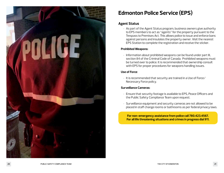

# **Edmonton Police Service (EPS)**

#### **Agent Status**

• As part of the Agent Status program, business owners give authority to EPS members to act as "agents" for the property pursuant to the Trespass to Premises Act. This allows police to issue and enforce bans against persons and insulates the property owner. Visit the nearest EPS Station to complete the registration and receive the sticker.

#### **Prohibited Weapons:**

• Information about prohibited weapons can be found under part III, section 84 of the Criminal Code of Canada. Prohibited weapons must be turned over to police. It is recommended that ownership consult with EPS for proper procedures for weapons handling issues.

#### **Use of Force**:

• It is recommended that security are trained in a Use of Force/ Necessary Force policy.

#### **Surveillance Cameras:**

- Ensure that security footage is available to EPS, Peace Officers and the Public Safety Compliance Team upon request.
- Surveillance equipment and security cameras are not allowed to be placed in staff change rooms or bathrooms as per federal privacy laws.

**For non-emergency assistance from police call 780.423.4567. For all life threatening situations and crimes in progress dial 911.**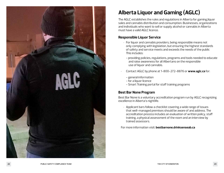

# **Alberta Liquor and Gaming (AGLC)**

The AGLC establishes the rules and regulations in Alberta for gaming,liquor sales and cannabis distribution and consumption. Businesses, organizations and individuals who want to sell or supply alcohol or cannabis in Alberta must have a valid AGLC licence.

#### **Responsible Liquor Service**

- For liquor and cannabis providers, being responsible means not only complying with legislation, but ensuring the highest standards of safety and service meets and exceeds the needs of the public This includes:
	- providing policies, regulations, programs and tools needed to educate and raise awareness for all Albertans on the responsible use of liquor and cannabis.
- Contact AGLC by phone at 1-800-272-8876 or **www.aglc.ca** for:
	- general information
	- for a liquor licence
	- Smart Training portal for staff training programs

### **Best Bar None Program**

Best Bar None is a voluntary accreditation program run by AGLC recognizing excellence in Alberta's nightlife.

• Applicant bars follow a checklist covering a wide range of issues that well-managed premises should be aware of and address. The accreditation process includes an evaluation of written policy, staff training, a physical assessment of the room and an interview by trained assessors.

For more information visit: **[bestbarnone.drinksenseab.ca](http://bestbarnone.drinksenseab.ca )**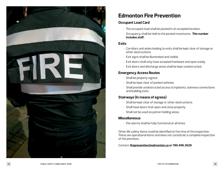

## **Edmonton Fire Prevention**

### **Occupant Load Card**

- The occupant load shall be posted in an accepted location.
- Occupancy shall be held to the posted maximums. **This number includes staff.**

#### **Exits**

- Corridors and aisles leading to exits shall be kept clear of storage or other obstructions.
- Exit signs shall be illuminated and visible.
- Exit doors shall only have accepted hardware and open easily.
- Exit doors and discharge areas shall be kept unobstructed.

## **Emergency Access Routes**

- Shall be properly signed.
- Shall be kept clear of parked vehicles.
- Shall provide unobstructed access to hydrants, siamese connections and building exits.

## **Stairways (In means of egress)**

- Shall be kept clear of storage or other obstructions.
- Shall have doors that open and close properly.
- Shall not be used as patron holding areas.

### **Miscellaneous**

• Fire alarms shall be fully functional at all times

Other life safety items could be identified at the time of the inspection. These are operational items and does not constitute a complete inspection of the premises.

Contact: **[fireprevention@edmonton.ca](mailto:fireprevention@edmonton.ca) or 780.496.3628**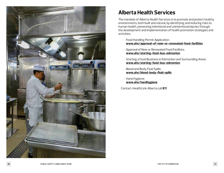

# **Alberta Health Services**

The mandate of Alberta Health Services is to promote and protect healthy environments, both built and natural, by identifying and reducing risks to human health, preventing intentional and unintentional injuries through the development and implementation of health promotion strategies and activities.

- Food Handling Permit Application: **[www.ahs/approval-of-new-or-renovated-food-facilities](http://www.ahs/approval-of-new-or-renovated-food-facilities)**
- Approval of New or Renovated Food Facilities: **[www.ahs/starting-food-bus-edmonton](http://www.ahs/starting-food-bus-edmonton)**
- Starting a Food Business in Edmonton and Surrounding Areas: **[www.ahs/starting-food-bus-edmonton](http://www.ahs/starting-food-bus-edmonton)**
- Blood and Body Fluid Spills: **[www.ahs/blood-body-fluid-spills](http://www.ahs/blood-body-fluid-spills)**
- Hand Hygiene: **[www.ahs/handhygiene](http://www.ahs/handhygiene)**

Contact: HealthLink Alberta call **811**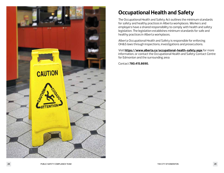

# **Occupational Health and Safety**

The Occupational Health and Safety Act outlines the minimum standards for safety and healthy practices in Alberta workplaces. Workers and employers have a shared responsibility to comply with health and safety legislation. The legislation establishes minimum standards for safe and healthy practices in Alberta workplaces.

Alberta Occupational Health and Safety is responsible for enforcing OH&S laws through inspections, investigations and prosecutions.

Visit **<https://www.alberta.ca/occupational-health-safety.aspx>** for more information, or contact the Occupational Health and Safety Contact Centre for Edmonton and the surrounding area:

Contact **780.415.8690.**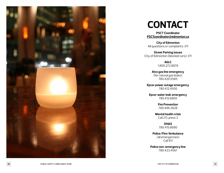

# **CONTACT**

**PSCT Coordinator [PSCTcoordinator@edmonton.ca](mailto:PSCTcoordinator@edmonton.ca)**

**City of Edmonton**  All questions or complaints: 311

**Street Parking issues** City of Edmonton (blocked cars): 311

> **AGLC** 1.800.272.8876

**Atco gas line emergency** (for natural gas leaks): 780.420.5585

**Epcor power outage emergency** 780.412.4500

**Epcor water leak emergency** 780.412.6800

> **Fire Prevention** 780.496.3628

**Mental health crisis** Call 211, press 3

> **OH&S** 780.415.8690

**Police/Fire/Ambulance** (all emergencies) Call 911

**Police non-emergency line** 780.423.4567